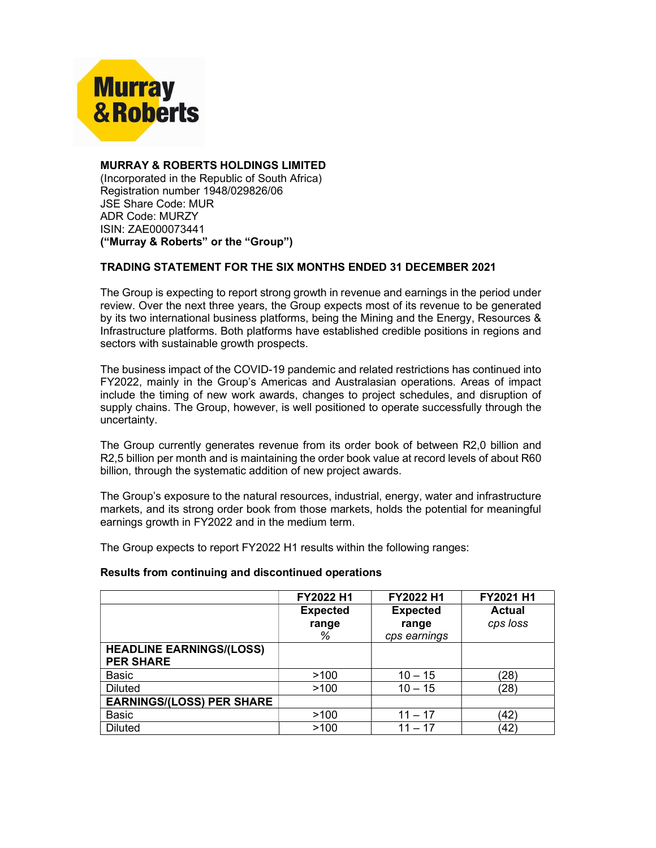

# MURRAY & ROBERTS HOLDINGS LIMITED

(Incorporated in the Republic of South Africa) Registration number 1948/029826/06 JSE Share Code: MUR ADR Code: MURZY ISIN: ZAE000073441 ("Murray & Roberts" or the "Group")

## TRADING STATEMENT FOR THE SIX MONTHS ENDED 31 DECEMBER 2021

The Group is expecting to report strong growth in revenue and earnings in the period under review. Over the next three years, the Group expects most of its revenue to be generated by its two international business platforms, being the Mining and the Energy, Resources & Infrastructure platforms. Both platforms have established credible positions in regions and sectors with sustainable growth prospects.

The business impact of the COVID-19 pandemic and related restrictions has continued into FY2022, mainly in the Group's Americas and Australasian operations. Areas of impact include the timing of new work awards, changes to project schedules, and disruption of supply chains. The Group, however, is well positioned to operate successfully through the uncertainty.

The Group currently generates revenue from its order book of between R2,0 billion and R2,5 billion per month and is maintaining the order book value at record levels of about R60 billion, through the systematic addition of new project awards.

The Group's exposure to the natural resources, industrial, energy, water and infrastructure markets, and its strong order book from those markets, holds the potential for meaningful earnings growth in FY2022 and in the medium term.

The Group expects to report FY2022 H1 results within the following ranges:

### Results from continuing and discontinued operations

|                                  | FY2022 H1       | FY2022 H1       | FY2021 H1     |
|----------------------------------|-----------------|-----------------|---------------|
|                                  | <b>Expected</b> | <b>Expected</b> | <b>Actual</b> |
|                                  | range           | range           | cps loss      |
|                                  | %               | cps earnings    |               |
| <b>HEADLINE EARNINGS/(LOSS)</b>  |                 |                 |               |
| <b>PER SHARE</b>                 |                 |                 |               |
| <b>Basic</b>                     | >100            | $10 - 15$       | (28           |
| <b>Diluted</b>                   | >100            | $10 - 15$       | (28)          |
| <b>EARNINGS/(LOSS) PER SHARE</b> |                 |                 |               |
| <b>Basic</b>                     | >100            | $11 - 17$       | (42)          |
| <b>Diluted</b>                   | >100            | $11 - 17$       | 42)           |